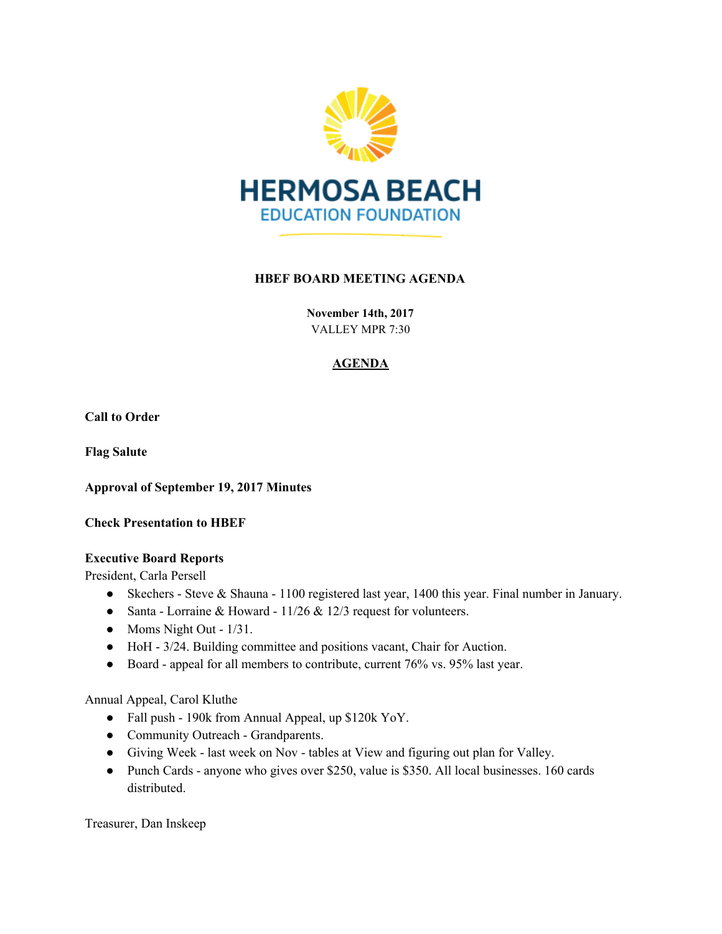

# **HBEF BOARD MEETING AGENDA**

**November 14th, 2017** VALLEY MPR 7:30

# **AGENDA**

**Call to Order**

**Flag Salute**

**Approval of September 19, 2017 Minutes**

**Check Presentation to HBEF**

#### **Executive Board Reports**

President, Carla Persell

- Skechers Steve & Shauna 1100 registered last year, 1400 this year. Final number in January.
- Santa Lorraine & Howard  $11/26$  &  $12/3$  request for volunteers.
- Moms Night Out 1/31.
- HoH 3/24. Building committee and positions vacant, Chair for Auction.
- Board appeal for all members to contribute, current 76% vs. 95% last year.

Annual Appeal, Carol Kluthe

- Fall push 190k from Annual Appeal, up \$120k YoY.
- Community Outreach Grandparents.
- Giving Week last week on Nov tables at View and figuring out plan for Valley.
- Punch Cards anyone who gives over \$250, value is \$350. All local businesses. 160 cards distributed.

Treasurer, Dan Inskeep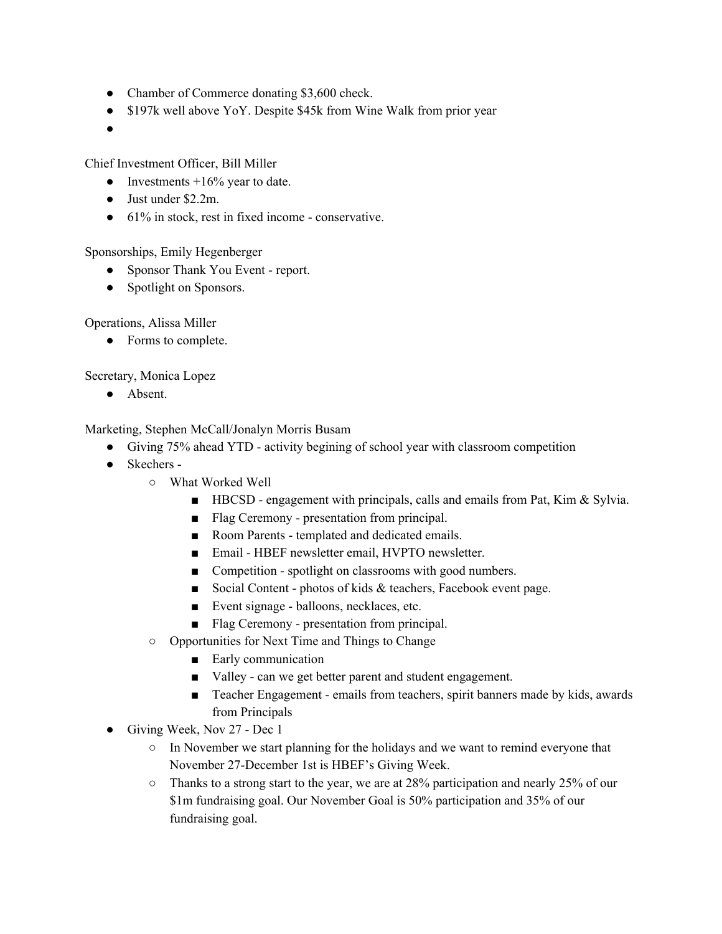- Chamber of Commerce donating \$3,600 check.
- \$197k well above YoY. Despite \$45k from Wine Walk from prior year
- ●

Chief Investment Officer, Bill Miller

- Investments  $+16\%$  year to date.
- Just under \$2.2m.
- 61% in stock, rest in fixed income conservative.

Sponsorships, Emily Hegenberger

- Sponsor Thank You Event report.
- Spotlight on Sponsors.

Operations, Alissa Miller

● Forms to complete.

Secretary, Monica Lopez

● Absent.

Marketing, Stephen McCall/Jonalyn Morris Busam

- Giving 75% ahead YTD activity begining of school year with classroom competition
- Skechers
	- What Worked Well
		- HBCSD engagement with principals, calls and emails from Pat, Kim & Sylvia.
		- Flag Ceremony presentation from principal.
		- Room Parents templated and dedicated emails.
		- Email HBEF newsletter email, HVPTO newsletter.
		- Competition spotlight on classrooms with good numbers.
		- Social Content photos of kids & teachers, Facebook event page.
		- Event signage balloons, necklaces, etc.
		- Flag Ceremony presentation from principal.
	- Opportunities for Next Time and Things to Change
		- Early communication
		- Valley can we get better parent and student engagement.
		- Teacher Engagement emails from teachers, spirit banners made by kids, awards from Principals
- Giving Week, Nov 27 Dec 1
	- In November we start planning for the holidays and we want to remind everyone that November 27-December 1st is HBEF's Giving Week.
	- Thanks to a strong start to the year, we are at 28% participation and nearly 25% of our \$1m fundraising goal. Our November Goal is 50% participation and 35% of our fundraising goal.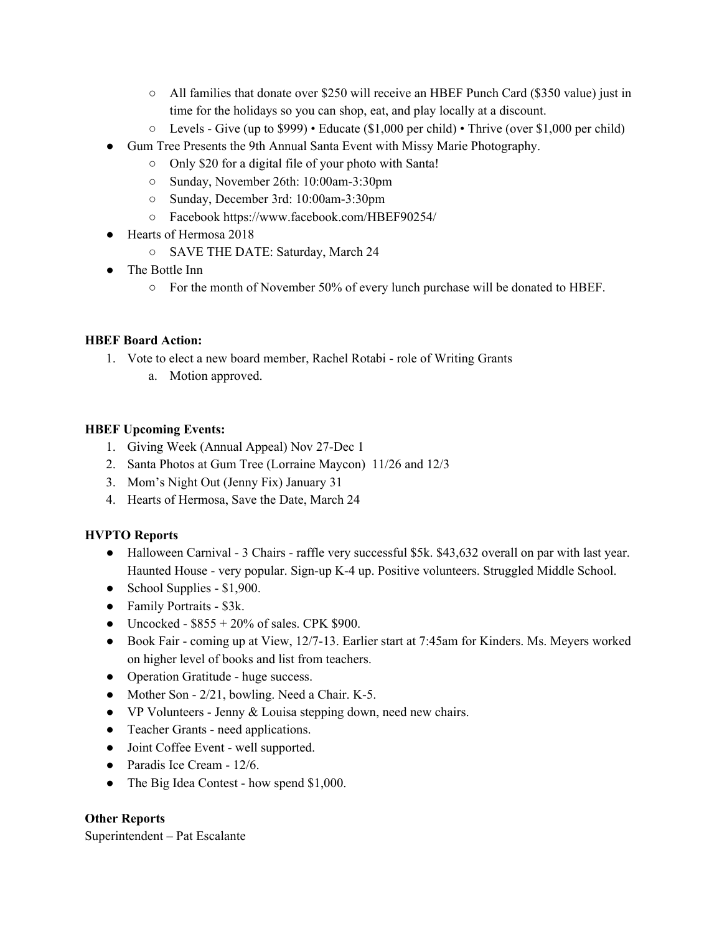- All families that donate over \$250 will receive an HBEF Punch Card (\$350 value) just in time for the holidays so you can shop, eat, and play locally at a discount.
- Levels Give (up to \$999) Educate (\$1,000 per child) Thrive (over \$1,000 per child)
- Gum Tree Presents the 9th Annual Santa Event with Missy Marie Photography.
	- Only \$20 for a digital file of your photo with Santa!
	- Sunday, November 26th: 10:00am-3:30pm
	- Sunday, December 3rd: 10:00am-3:30pm
	- Facebook https://www.facebook.com/HBEF90254/
- Hearts of Hermosa 2018
	- SAVE THE DATE: Saturday, March 24
- The Bottle Inn
	- $\circ$  For the month of November 50% of every lunch purchase will be donated to HBEF.

# **HBEF Board Action:**

- 1. Vote to elect a new board member, Rachel Rotabi role of Writing Grants
	- a. Motion approved.

#### **HBEF Upcoming Events:**

- 1. Giving Week (Annual Appeal) Nov 27-Dec 1
- 2. Santa Photos at Gum Tree (Lorraine Maycon) 11/26 and 12/3
- 3. Mom's Night Out (Jenny Fix) January 31
- 4. Hearts of Hermosa, Save the Date, March 24

# **HVPTO Reports**

- Halloween Carnival 3 Chairs raffle very successful \$5k. \$43,632 overall on par with last year. Haunted House - very popular. Sign-up K-4 up. Positive volunteers. Struggled Middle School.
- School Supplies  $$1,900$ .
- Family Portraits \$3k.
- Uncocked  $$855 + 20\%$  of sales. CPK \$900.
- Book Fair coming up at View, 12/7-13. Earlier start at 7:45am for Kinders. Ms. Meyers worked on higher level of books and list from teachers.
- Operation Gratitude huge success.
- Mother Son 2/21, bowling. Need a Chair. K-5.
- VP Volunteers Jenny & Louisa stepping down, need new chairs.
- Teacher Grants need applications.
- Joint Coffee Event well supported.
- Paradis Ice Cream 12/6.
- The Big Idea Contest how spend \$1,000.

# **Other Reports**

Superintendent – Pat Escalante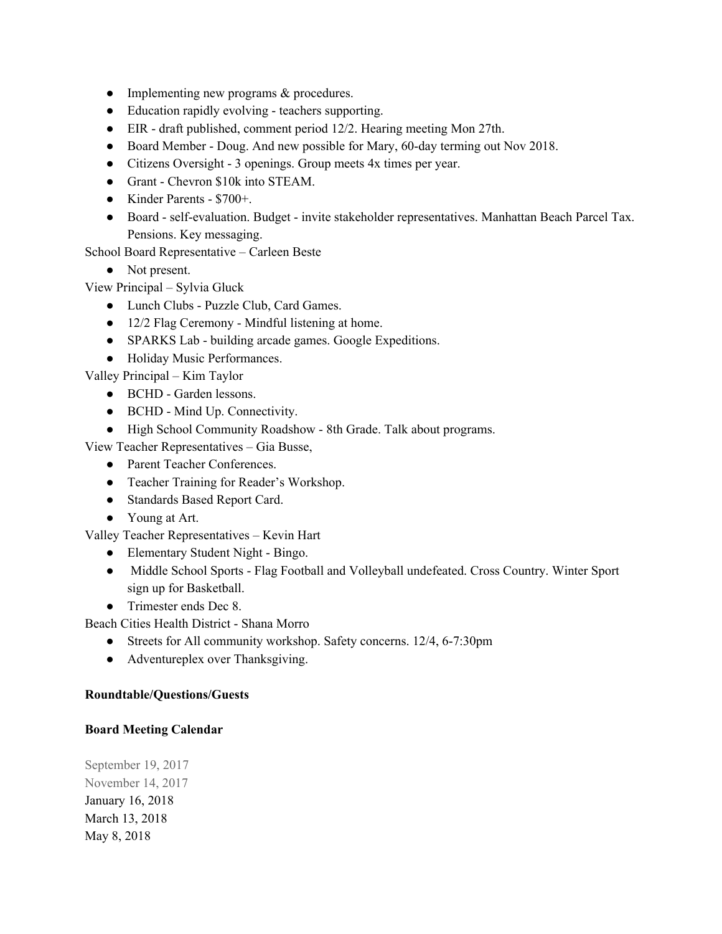- Implementing new programs & procedures.
- Education rapidly evolving teachers supporting.
- EIR draft published, comment period 12/2. Hearing meeting Mon 27th.
- Board Member Doug. And new possible for Mary, 60-day terming out Nov 2018.
- Citizens Oversight 3 openings. Group meets 4x times per year.
- Grant Chevron \$10k into STEAM.
- Kinder Parents \$700+.
- Board self-evaluation. Budget invite stakeholder representatives. Manhattan Beach Parcel Tax. Pensions. Key messaging.

School Board Representative – Carleen Beste

- Not present.
- View Principal Sylvia Gluck
	- Lunch Clubs Puzzle Club, Card Games.
	- 12/2 Flag Ceremony Mindful listening at home.
	- SPARKS Lab building arcade games. Google Expeditions.
	- Holiday Music Performances.

Valley Principal – Kim Taylor

- BCHD Garden lessons.
- BCHD Mind Up. Connectivity.
- High School Community Roadshow 8th Grade. Talk about programs.

View Teacher Representatives – Gia Busse,

- Parent Teacher Conferences.
- Teacher Training for Reader's Workshop.
- Standards Based Report Card.
- Young at Art.

Valley Teacher Representatives – Kevin Hart

- Elementary Student Night Bingo.
- Middle School Sports Flag Football and Volleyball undefeated. Cross Country. Winter Sport sign up for Basketball.
- Trimester ends Dec 8.

Beach Cities Health District - Shana Morro

- Streets for All community workshop. Safety concerns. 12/4, 6-7:30pm
- Adventureplex over Thanksgiving.

# **Roundtable/Questions/Guests**

#### **Board Meeting Calendar**

September 19, 2017 November 14, 2017 January 16, 2018 March 13, 2018 May 8, 2018